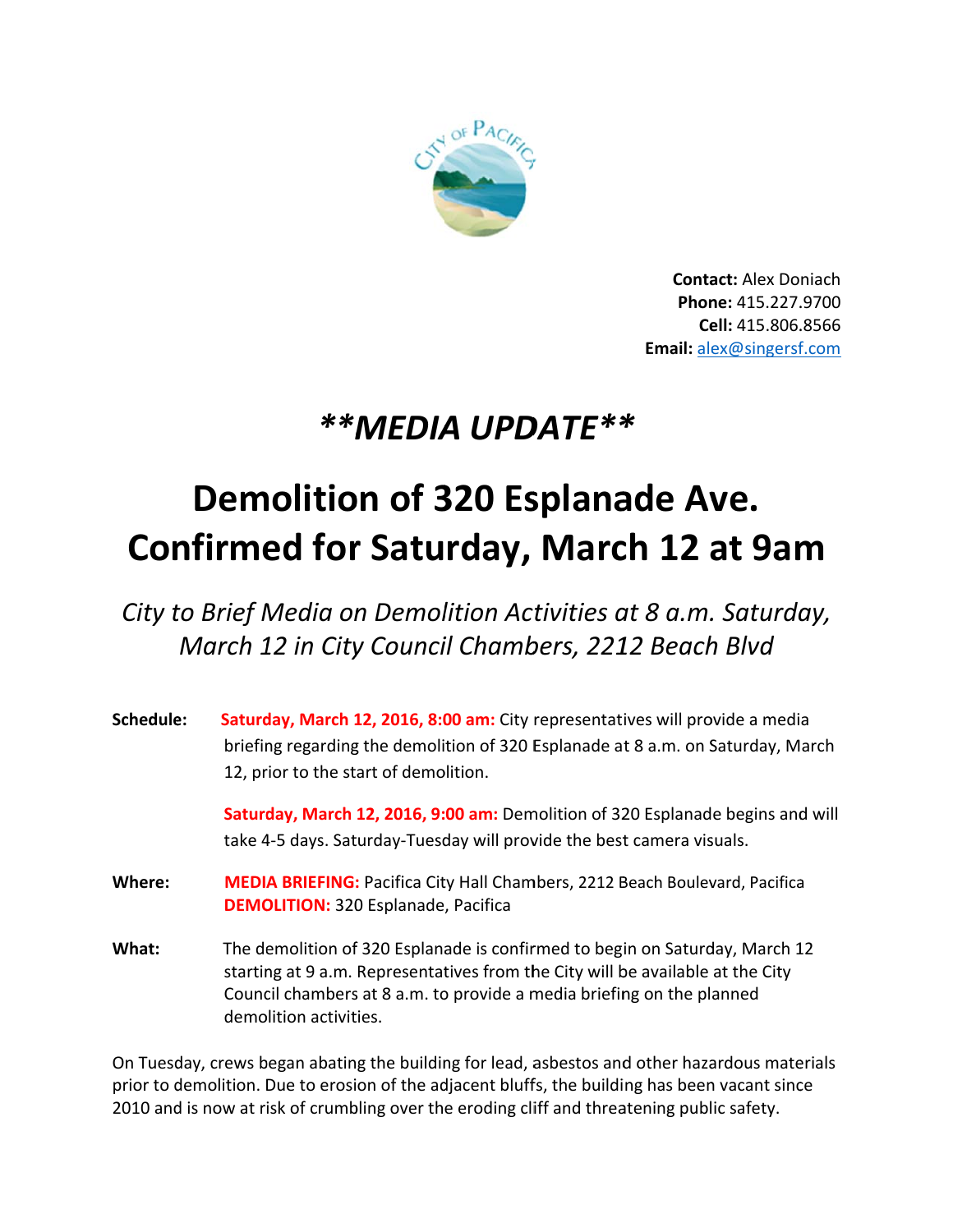

**Contact: Alex Doniach** Phone: 415.227.9700 Cell: 415.806.8566 Email: alex@singersf.com

## \*\*MEDIA UPDATE\*\*

## **Demolition of 320 Esplanade Ave. Confirmed for Saturday, March 12 at 9am**

City to Brief Media on Demolition Activities at 8 a.m. Saturday, March 12 in City Council Chambers, 2212 Beach Blvd

| Schedule: | Saturday, March 12, 2016, 8:00 am: City representatives will provide a media<br>briefing regarding the demolition of 320 Esplanade at 8 a.m. on Saturday, March<br>12, prior to the start of demolition.                                                         |
|-----------|------------------------------------------------------------------------------------------------------------------------------------------------------------------------------------------------------------------------------------------------------------------|
|           | Saturday, March 12, 2016, 9:00 am: Demolition of 320 Esplanade begins and will<br>take 4-5 days. Saturday-Tuesday will provide the best camera visuals.                                                                                                          |
| Where:    | <b>MEDIA BRIEFING: Pacifica City Hall Chambers, 2212 Beach Boulevard, Pacifica</b><br><b>DEMOLITION: 320 Esplanade, Pacifica</b>                                                                                                                                 |
| What:     | The demolition of 320 Esplanade is confirmed to begin on Saturday, March 12<br>starting at 9 a.m. Representatives from the City will be available at the City<br>Council chambers at 8 a.m. to provide a media briefing on the planned<br>demolition activities. |

On Tuesday, crews began abating the building for lead, asbestos and other hazardous materials prior to demolition. Due to erosion of the adjacent bluffs, the building has been vacant since 2010 and is now at risk of crumbling over the eroding cliff and threatening public safety.